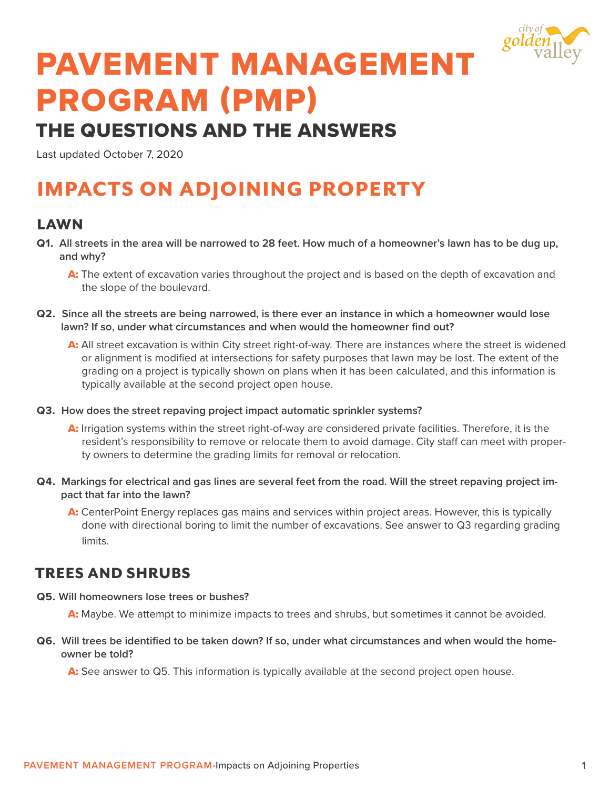

# PAVEMENT MANAGEMENT PROGRAM (PMP)

## THE QUESTIONS AND THE ANSWERS

Last updated October 7, 2020

## IMPACTS ON ADJOINING PROPERTY

#### LAWN

**Q1. All streets in the area will be narrowed to 28 feet. How much of a homeowner's lawn has to be dug up, and why?**

A: The extent of excavation varies throughout the project and is based on the depth of excavation and the slope of the boulevard.

- **Q2. Since all the streets are being narrowed, is there ever an instance in which a homeowner would lose lawn? If so, under what circumstances and when would the homeowner find out?**
	- A: All street excavation is within City street right-of-way. There are instances where the street is widened or alignment is modified at intersections for safety purposes that lawn may be lost. The extent of the grading on a project is typically shown on plans when it has been calculated, and this information is typically available at the second project open house.
- **Q3. How does the street repaving project impact automatic sprinkler systems?**
	- A: Irrigation systems within the street right-of-way are considered private facilities. Therefore, it is the resident's responsibility to remove or relocate them to avoid damage. City staff can meet with property owners to determine the grading limits for removal or relocation.
- **Q4. Markings for electrical and gas lines are several feet from the road. Will the street repaving project impact that far into the lawn?** 
	- A: CenterPoint Energy replaces gas mains and services within project areas. However, this is typically done with directional boring to limit the number of excavations. See answer to Q3 regarding grading limits.

### TREES AND SHRUBS

**Q5. Will homeowners lose trees or bushes?** 

A: Maybe. We attempt to minimize impacts to trees and shrubs, but sometimes it cannot be avoided.

**Q6. Will trees be identified to be taken down? If so, under what circumstances and when would the homeowner be told?**

A: See answer to Q5. This information is typically available at the second project open house.